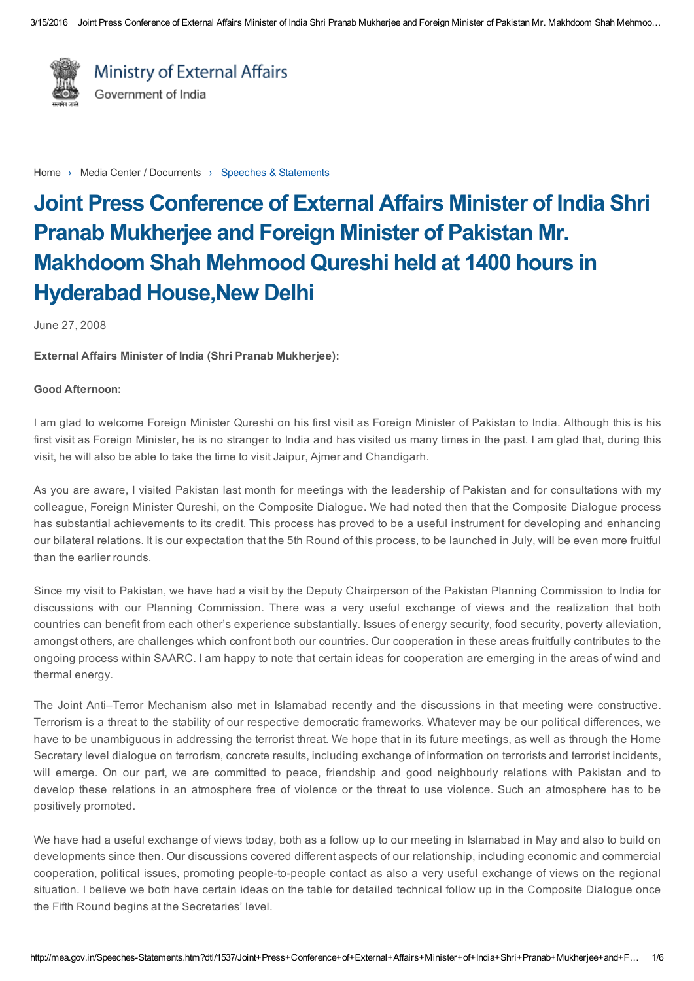

Ministry of External Affairs Government of India

[Home](http://mea.gov.in/index.htm) > Media Center / Documents > Speeches & Statements

# Joint Press Conference of External Affairs Minister of India Shri Pranab Mukherjee and Foreign Minister of Pakistan Mr. Makhdoom Shah Mehmood Qureshi held at 1400 hours in Hyderabad House,New Delhi

June 27, 2008

External Affairs Minister of India (Shri Pranab Mukherjee):

### Good Afternoon:

I am glad to welcome Foreign Minister Qureshi on his first visit as Foreign Minister of Pakistan to India. Although this is his first visit as Foreign Minister, he is no stranger to India and has visited us many times in the past. I am glad that, during this visit, he will also be able to take the time to visit Jaipur, Ajmer and Chandigarh.

As you are aware, I visited Pakistan last month for meetings with the leadership of Pakistan and for consultations with my colleague, Foreign Minister Qureshi, on the Composite Dialogue. We had noted then that the Composite Dialogue process has substantial achievements to its credit. This process has proved to be a useful instrument for developing and enhancing our bilateral relations. It is our expectation that the 5th Round of this process, to be launched in July, will be even more fruitful than the earlier rounds.

Since my visit to Pakistan, we have had a visit by the Deputy Chairperson of the Pakistan Planning Commission to India for discussions with our Planning Commission. There was a very useful exchange of views and the realization that both countries can benefit from each other's experience substantially. Issues of energy security, food security, poverty alleviation, amongst others, are challenges which confront both our countries. Our cooperation in these areas fruitfully contributes to the ongoing process within SAARC. I am happy to note that certain ideas for cooperation are emerging in the areas of wind and thermal energy.

The Joint Anti–Terror Mechanism also met in Islamabad recently and the discussions in that meeting were constructive. Terrorism is a threat to the stability of our respective democratic frameworks. Whatever may be our political differences, we have to be unambiguous in addressing the terrorist threat. We hope that in its future meetings, as well as through the Home Secretary level dialogue on terrorism, concrete results, including exchange of information on terrorists and terrorist incidents, will emerge. On our part, we are committed to peace, friendship and good neighbourly relations with Pakistan and to develop these relations in an atmosphere free of violence or the threat to use violence. Such an atmosphere has to be positively promoted.

We have had a useful exchange of views today, both as a follow up to our meeting in Islamabad in May and also to build on developments since then. Our discussions covered different aspects of our relationship, including economic and commercial cooperation, political issues, promoting people-to-people contact as also a very useful exchange of views on the regional situation. I believe we both have certain ideas on the table for detailed technical follow up in the Composite Dialogue once the Fifth Round begins at the Secretaries' level.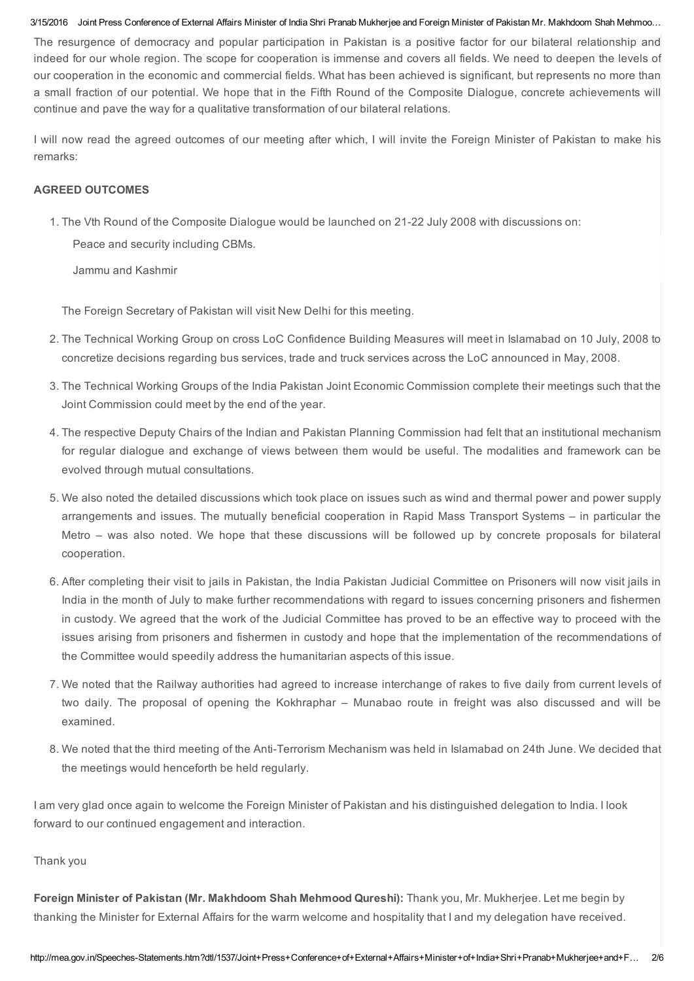#### 3/15/2016 Joint Press Conference of External Affairs Minister of India Shri Pranab Mukherjee and Foreign Minister of Pakistan Mr. Makhdoom Shah Mehmoo…

The resurgence of democracy and popular participation in Pakistan is a positive factor for our bilateral relationship and indeed for our whole region. The scope for cooperation is immense and covers all fields. We need to deepen the levels of our cooperation in the economic and commercial fields. What has been achieved is significant, but represents no more than a small fraction of our potential. We hope that in the Fifth Round of the Composite Dialogue, concrete achievements will continue and pave the way for a qualitative transformation of our bilateral relations.

I will now read the agreed outcomes of our meeting after which, I will invite the Foreign Minister of Pakistan to make his remarks:

## AGREED OUTCOMES

1. The Vth Round of the Composite Dialogue would be launched on 21-22 July 2008 with discussions on:

Peace and security including CBMs.

Jammu and Kashmir

The Foreign Secretary of Pakistan will visit New Delhi for this meeting.

- 2. The Technical Working Group on cross LoC Confidence Building Measures will meet in Islamabad on 10 July, 2008 to concretize decisions regarding bus services, trade and truck services across the LoC announced in May, 2008.
- 3. The Technical Working Groups of the India Pakistan Joint Economic Commission complete their meetings such that the Joint Commission could meet by the end of the year.
- 4. The respective Deputy Chairs of the Indian and Pakistan Planning Commission had felt that an institutional mechanism for regular dialogue and exchange of views between them would be useful. The modalities and framework can be evolved through mutual consultations.
- 5. We also noted the detailed discussions which took place on issues such as wind and thermal power and power supply arrangements and issues. The mutually beneficial cooperation in Rapid Mass Transport Systems – in particular the Metro – was also noted. We hope that these discussions will be followed up by concrete proposals for bilateral cooperation.
- 6. After completing their visit to jails in Pakistan, the India Pakistan Judicial Committee on Prisoners will now visit jails in India in the month of July to make further recommendations with regard to issues concerning prisoners and fishermen in custody. We agreed that the work of the Judicial Committee has proved to be an effective way to proceed with the issues arising from prisoners and fishermen in custody and hope that the implementation of the recommendations of the Committee would speedily address the humanitarian aspects of this issue.
- 7. We noted that the Railway authorities had agreed to increase interchange of rakes to five daily from current levels of two daily. The proposal of opening the Kokhraphar – Munabao route in freight was also discussed and will be examined.
- 8. We noted that the third meeting of the Anti-Terrorism Mechanism was held in Islamabad on 24th June. We decided that the meetings would henceforth be held regularly.

I am very glad once again to welcome the Foreign Minister of Pakistan and his distinguished delegation to India. I look forward to our continued engagement and interaction.

## Thank you

Foreign Minister of Pakistan (Mr. Makhdoom Shah Mehmood Qureshi): Thank you, Mr. Mukherjee. Let me begin by thanking the Minister for External Affairs for the warm welcome and hospitality that I and my delegation have received.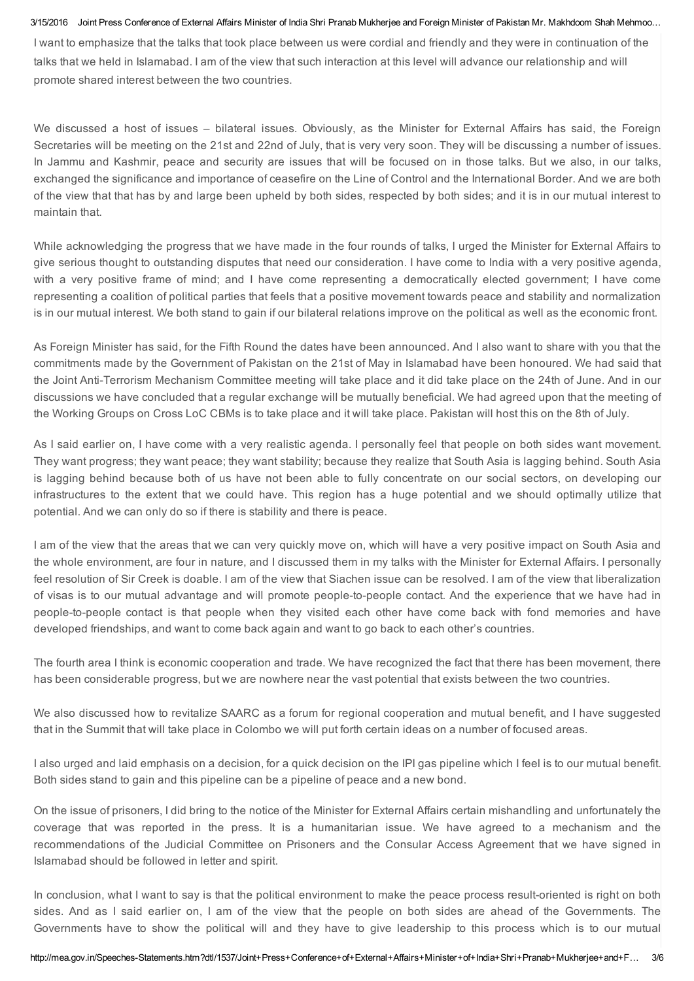#### 3/15/2016 Joint Press Conference of External Affairs Minister of India Shri Pranab Mukherjee and Foreign Minister of Pakistan Mr. Makhdoom Shah Mehmoo…

I want to emphasize that the talks that took place between us were cordial and friendly and they were in continuation of the talks that we held in Islamabad. I am of the view that such interaction at this level will advance our relationship and will promote shared interest between the two countries.

We discussed a host of issues – bilateral issues. Obviously, as the Minister for External Affairs has said, the Foreign Secretaries will be meeting on the 21st and 22nd of July, that is very very soon. They will be discussing a number of issues. In Jammu and Kashmir, peace and security are issues that will be focused on in those talks. But we also, in our talks, exchanged the significance and importance of ceasefire on the Line of Control and the International Border. And we are both of the view that that has by and large been upheld by both sides, respected by both sides; and it is in our mutual interest to maintain that.

While acknowledging the progress that we have made in the four rounds of talks, I urged the Minister for External Affairs to give serious thought to outstanding disputes that need our consideration. I have come to India with a very positive agenda, with a very positive frame of mind; and I have come representing a democratically elected government; I have come representing a coalition of political parties that feels that a positive movement towards peace and stability and normalization is in our mutual interest. We both stand to gain if our bilateral relations improve on the political as well as the economic front.

As Foreign Minister has said, for the Fifth Round the dates have been announced. And I also want to share with you that the commitments made by the Government of Pakistan on the 21st of May in Islamabad have been honoured. We had said that the Joint Anti-Terrorism Mechanism Committee meeting will take place and it did take place on the 24th of June. And in our discussions we have concluded that a regular exchange will be mutually beneficial. We had agreed upon that the meeting of the Working Groups on Cross LoC CBMs is to take place and it will take place. Pakistan will host this on the 8th of July.

As I said earlier on, I have come with a very realistic agenda. I personally feel that people on both sides want movement. They want progress; they want peace; they want stability; because they realize that South Asia is lagging behind. South Asia is lagging behind because both of us have not been able to fully concentrate on our social sectors, on developing our infrastructures to the extent that we could have. This region has a huge potential and we should optimally utilize that potential. And we can only do so if there is stability and there is peace.

I am of the view that the areas that we can very quickly move on, which will have a very positive impact on South Asia and the whole environment, are four in nature, and I discussed them in my talks with the Minister for External Affairs. I personally feel resolution of Sir Creek is doable. I am of the view that Siachen issue can be resolved. I am of the view that liberalization of visas is to our mutual advantage and will promote people-to-people contact. And the experience that we have had in people-to-people contact is that people when they visited each other have come back with fond memories and have developed friendships, and want to come back again and want to go back to each other's countries.

The fourth area I think is economic cooperation and trade. We have recognized the fact that there has been movement, there has been considerable progress, but we are nowhere near the vast potential that exists between the two countries.

We also discussed how to revitalize SAARC as a forum for regional cooperation and mutual benefit, and I have suggested that in the Summit that will take place in Colombo we will put forth certain ideas on a number of focused areas.

I also urged and laid emphasis on a decision, for a quick decision on the IPI gas pipeline which I feel is to our mutual benefit. Both sides stand to gain and this pipeline can be a pipeline of peace and a new bond.

On the issue of prisoners, I did bring to the notice of the Minister for External Affairs certain mishandling and unfortunately the coverage that was reported in the press. It is a humanitarian issue. We have agreed to a mechanism and the recommendations of the Judicial Committee on Prisoners and the Consular Access Agreement that we have signed in Islamabad should be followed in letter and spirit.

In conclusion, what I want to say is that the political environment to make the peace process result-oriented is right on both sides. And as I said earlier on, I am of the view that the people on both sides are ahead of the Governments. The Governments have to show the political will and they have to give leadership to this process which is to our mutual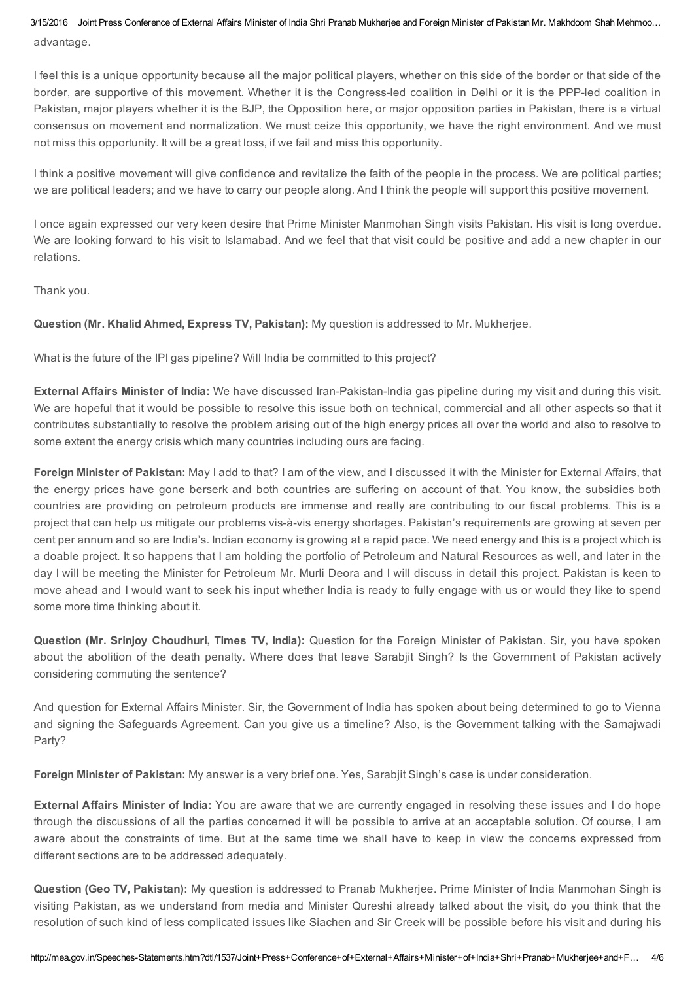3/15/2016 Joint Press Conference of External Affairs Minister of India Shri Pranab Mukherjee and Foreign Minister of Pakistan Mr. Makhdoom Shah Mehmoo… advantage.

I feel this is a unique opportunity because all the major political players, whether on this side of the border or that side of the border, are supportive of this movement. Whether it is the Congress-led coalition in Delhi or it is the PPP-led coalition in Pakistan, major players whether it is the BJP, the Opposition here, or major opposition parties in Pakistan, there is a virtual consensus on movement and normalization. We must ceize this opportunity, we have the right environment. And we must not miss this opportunity. It will be a great loss, if we fail and miss this opportunity.

I think a positive movement will give confidence and revitalize the faith of the people in the process. We are political parties; we are political leaders; and we have to carry our people along. And I think the people will support this positive movement.

I once again expressed our very keen desire that Prime Minister Manmohan Singh visits Pakistan. His visit is long overdue. We are looking forward to his visit to Islamabad. And we feel that that visit could be positive and add a new chapter in our relations.

Thank you.

Question (Mr. Khalid Ahmed, Express TV, Pakistan): My question is addressed to Mr. Mukherjee.

What is the future of the IPI gas pipeline? Will India be committed to this project?

External Affairs Minister of India: We have discussed Iran-Pakistan-India gas pipeline during my visit and during this visit. We are hopeful that it would be possible to resolve this issue both on technical, commercial and all other aspects so that it contributes substantially to resolve the problem arising out of the high energy prices all over the world and also to resolve to some extent the energy crisis which many countries including ours are facing.

Foreign Minister of Pakistan: May I add to that? I am of the view, and I discussed it with the Minister for External Affairs, that the energy prices have gone berserk and both countries are suffering on account of that. You know, the subsidies both countries are providing on petroleum products are immense and really are contributing to our fiscal problems. This is a project that can help us mitigate our problems vis-à-vis energy shortages. Pakistan's requirements are growing at seven per cent per annum and so are India's. Indian economy is growing at a rapid pace. We need energy and this is a project which is a doable project. It so happens that I am holding the portfolio of Petroleum and Natural Resources as well, and later in the day I will be meeting the Minister for Petroleum Mr. Murli Deora and I will discuss in detail this project. Pakistan is keen to move ahead and I would want to seek his input whether India is ready to fully engage with us or would they like to spend some more time thinking about it.

Question (Mr. Srinjoy Choudhuri, Times TV, India): Question for the Foreign Minister of Pakistan. Sir, you have spoken about the abolition of the death penalty. Where does that leave Sarabjit Singh? Is the Government of Pakistan actively considering commuting the sentence?

And question for External Affairs Minister. Sir, the Government of India has spoken about being determined to go to Vienna and signing the Safeguards Agreement. Can you give us a timeline? Also, is the Government talking with the Samajwadi Party?

Foreign Minister of Pakistan: My answer is a very brief one. Yes, Sarabjit Singh's case is under consideration.

External Affairs Minister of India: You are aware that we are currently engaged in resolving these issues and I do hope through the discussions of all the parties concerned it will be possible to arrive at an acceptable solution. Of course, I am aware about the constraints of time. But at the same time we shall have to keep in view the concerns expressed from different sections are to be addressed adequately.

Question (Geo TV, Pakistan): My question is addressed to Pranab Mukherjee. Prime Minister of India Manmohan Singh is visiting Pakistan, as we understand from media and Minister Qureshi already talked about the visit, do you think that the resolution of such kind of less complicated issues like Siachen and Sir Creek will be possible before his visit and during his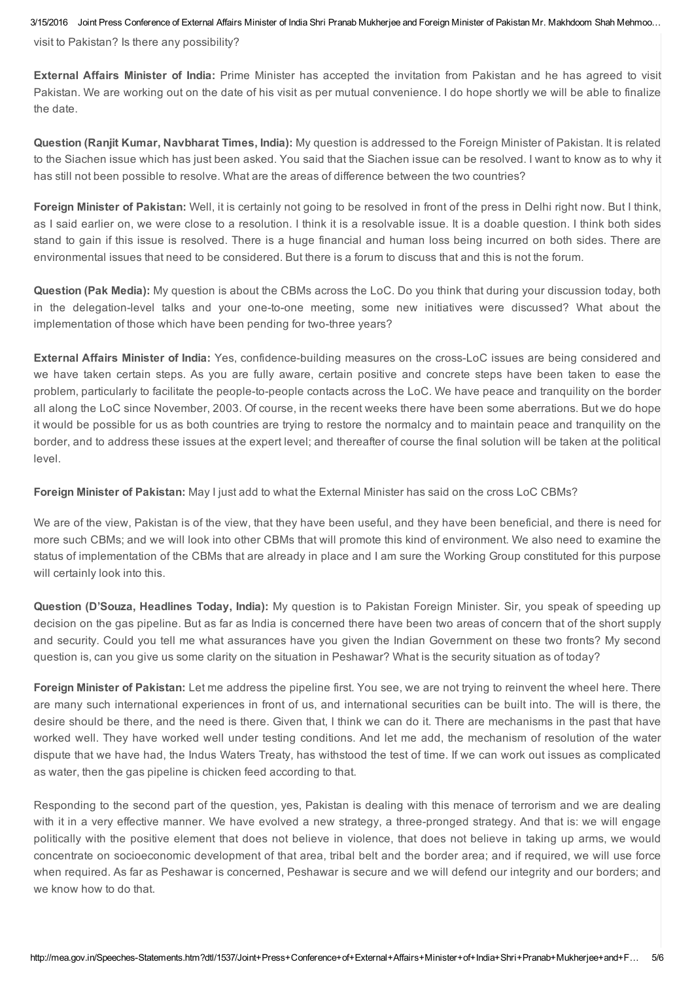3/15/2016 Joint Press Conference of External Affairs Minister of India Shri Pranab Mukherjee and Foreign Minister of Pakistan Mr. Makhdoom Shah Mehmoo…

visit to Pakistan? Is there any possibility?

External Affairs Minister of India: Prime Minister has accepted the invitation from Pakistan and he has agreed to visit Pakistan. We are working out on the date of his visit as per mutual convenience. I do hope shortly we will be able to finalize the date.

Question (Ranjit Kumar, Navbharat Times, India): My question is addressed to the Foreign Minister of Pakistan. It is related to the Siachen issue which has just been asked. You said that the Siachen issue can be resolved. I want to know as to why it has still not been possible to resolve. What are the areas of difference between the two countries?

Foreign Minister of Pakistan: Well, it is certainly not going to be resolved in front of the press in Delhi right now. But I think, as I said earlier on, we were close to a resolution. I think it is a resolvable issue. It is a doable question. I think both sides stand to gain if this issue is resolved. There is a huge financial and human loss being incurred on both sides. There are environmental issues that need to be considered. But there is a forum to discuss that and this is not the forum.

Question (Pak Media): My question is about the CBMs across the LoC. Do you think that during your discussion today, both in the delegation-level talks and your one-to-one meeting, some new initiatives were discussed? What about the implementation of those which have been pending for two-three years?

External Affairs Minister of India: Yes, confidence-building measures on the cross-LoC issues are being considered and we have taken certain steps. As you are fully aware, certain positive and concrete steps have been taken to ease the problem, particularly to facilitate the people-to-people contacts across the LoC. We have peace and tranquility on the border all along the LoC since November, 2003. Of course, in the recent weeks there have been some aberrations. But we do hope it would be possible for us as both countries are trying to restore the normalcy and to maintain peace and tranquility on the border, and to address these issues at the expert level; and thereafter of course the final solution will be taken at the political level.

Foreign Minister of Pakistan: May I just add to what the External Minister has said on the cross LoC CBMs?

We are of the view, Pakistan is of the view, that they have been useful, and they have been beneficial, and there is need for more such CBMs; and we will look into other CBMs that will promote this kind of environment. We also need to examine the status of implementation of the CBMs that are already in place and I am sure the Working Group constituted for this purpose will certainly look into this.

Question (D'Souza, Headlines Today, India): My question is to Pakistan Foreign Minister. Sir, you speak of speeding up decision on the gas pipeline. But as far as India is concerned there have been two areas of concern that of the short supply and security. Could you tell me what assurances have you given the Indian Government on these two fronts? My second question is, can you give us some clarity on the situation in Peshawar? What is the security situation as of today?

Foreign Minister of Pakistan: Let me address the pipeline first. You see, we are not trying to reinvent the wheel here. There are many such international experiences in front of us, and international securities can be built into. The will is there, the desire should be there, and the need is there. Given that, I think we can do it. There are mechanisms in the past that have worked well. They have worked well under testing conditions. And let me add, the mechanism of resolution of the water dispute that we have had, the Indus Waters Treaty, has withstood the test of time. If we can work out issues as complicated as water, then the gas pipeline is chicken feed according to that.

Responding to the second part of the question, yes, Pakistan is dealing with this menace of terrorism and we are dealing with it in a very effective manner. We have evolved a new strategy, a three-pronged strategy. And that is: we will engage politically with the positive element that does not believe in violence, that does not believe in taking up arms, we would concentrate on socioeconomic development of that area, tribal belt and the border area; and if required, we will use force when required. As far as Peshawar is concerned, Peshawar is secure and we will defend our integrity and our borders; and we know how to do that.